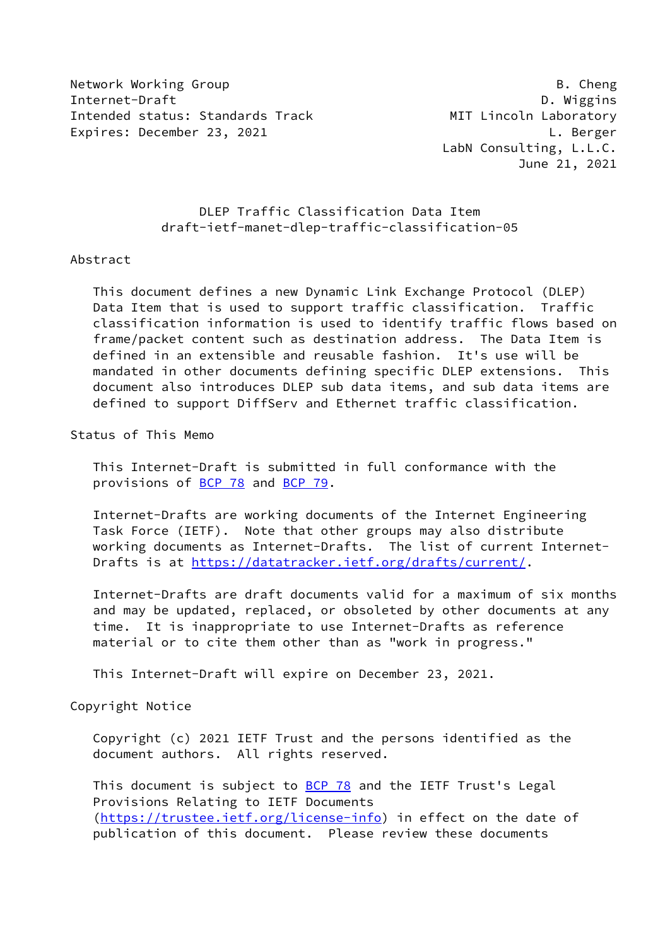Network Working Group **B. Cheng** Internet-Draft D. Wiggins Intended status: Standards Track MIT Lincoln Laboratory Expires: December 23, 2021 L. Berger

 LabN Consulting, L.L.C. June 21, 2021

## DLEP Traffic Classification Data Item draft-ietf-manet-dlep-traffic-classification-05

#### Abstract

 This document defines a new Dynamic Link Exchange Protocol (DLEP) Data Item that is used to support traffic classification. Traffic classification information is used to identify traffic flows based on frame/packet content such as destination address. The Data Item is defined in an extensible and reusable fashion. It's use will be mandated in other documents defining specific DLEP extensions. This document also introduces DLEP sub data items, and sub data items are defined to support DiffServ and Ethernet traffic classification.

Status of This Memo

 This Internet-Draft is submitted in full conformance with the provisions of [BCP 78](https://datatracker.ietf.org/doc/pdf/bcp78) and [BCP 79](https://datatracker.ietf.org/doc/pdf/bcp79).

 Internet-Drafts are working documents of the Internet Engineering Task Force (IETF). Note that other groups may also distribute working documents as Internet-Drafts. The list of current Internet- Drafts is at<https://datatracker.ietf.org/drafts/current/>.

 Internet-Drafts are draft documents valid for a maximum of six months and may be updated, replaced, or obsoleted by other documents at any time. It is inappropriate to use Internet-Drafts as reference material or to cite them other than as "work in progress."

This Internet-Draft will expire on December 23, 2021.

Copyright Notice

 Copyright (c) 2021 IETF Trust and the persons identified as the document authors. All rights reserved.

This document is subject to **[BCP 78](https://datatracker.ietf.org/doc/pdf/bcp78)** and the IETF Trust's Legal Provisions Relating to IETF Documents [\(https://trustee.ietf.org/license-info](https://trustee.ietf.org/license-info)) in effect on the date of publication of this document. Please review these documents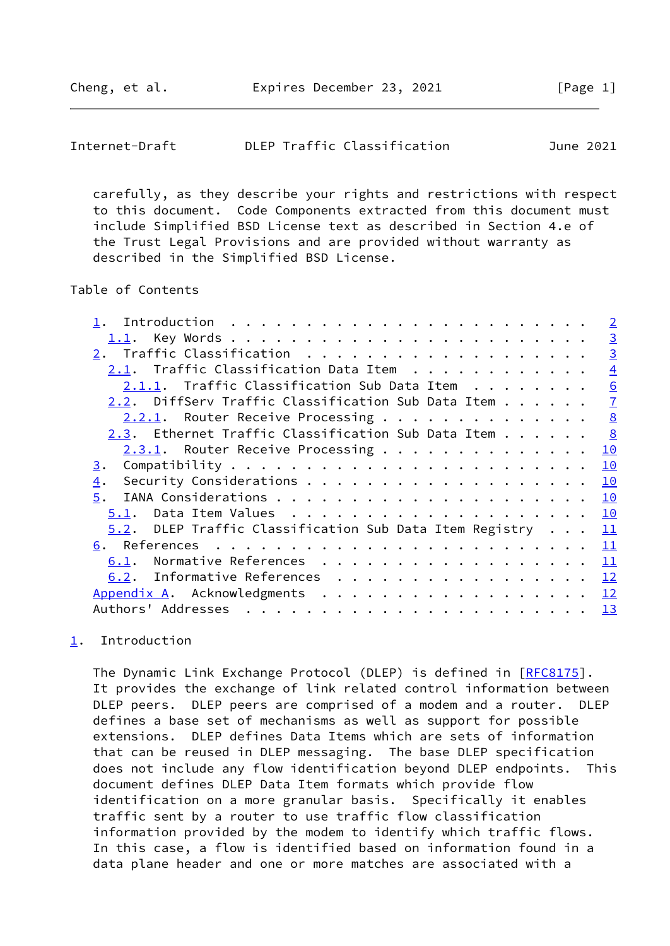<span id="page-1-1"></span>

| DLEP Traffic Classification<br>Internet-Draft<br>June 2021 |  |
|------------------------------------------------------------|--|
|------------------------------------------------------------|--|

 carefully, as they describe your rights and restrictions with respect to this document. Code Components extracted from this document must include Simplified BSD License text as described in Section 4.e of the Trust Legal Provisions and are provided without warranty as described in the Simplified BSD License.

# Table of Contents

|                                                            | $\overline{2}$  |
|------------------------------------------------------------|-----------------|
|                                                            | $\overline{3}$  |
|                                                            | $\overline{3}$  |
| 2.1. Traffic Classification Data Item                      | $\overline{4}$  |
| $2.1.1.$ Traffic Classification Sub Data Item $\ldots$     | $\underline{6}$ |
| 2.2. DiffServ Traffic Classification Sub Data Item         | $\overline{1}$  |
| 2.2.1. Router Receive Processing                           | 8               |
| 2.3. Ethernet Traffic Classification Sub Data Item         | 8               |
| 2.3.1. Router Receive Processing                           | 10              |
| 3.                                                         | 10              |
| 4.                                                         | 10              |
| 5.                                                         | 10              |
| 5.1.                                                       | 10              |
| DLEP Traffic Classification Sub Data Item Registry<br>5.2. | 11              |
|                                                            | 11              |
| Normative References<br>6.1.                               | 11              |
| 6.2. Informative References                                | 12              |
| Appendix A. Acknowledgments                                | 12              |
| Authors' Addresses                                         | 13              |
|                                                            |                 |

## <span id="page-1-0"></span>[1](#page-1-0). Introduction

The Dynamic Link Exchange Protocol (DLEP) is defined in [\[RFC8175](https://datatracker.ietf.org/doc/pdf/rfc8175)]. It provides the exchange of link related control information between DLEP peers. DLEP peers are comprised of a modem and a router. DLEP defines a base set of mechanisms as well as support for possible extensions. DLEP defines Data Items which are sets of information that can be reused in DLEP messaging. The base DLEP specification does not include any flow identification beyond DLEP endpoints. This document defines DLEP Data Item formats which provide flow identification on a more granular basis. Specifically it enables traffic sent by a router to use traffic flow classification information provided by the modem to identify which traffic flows. In this case, a flow is identified based on information found in a data plane header and one or more matches are associated with a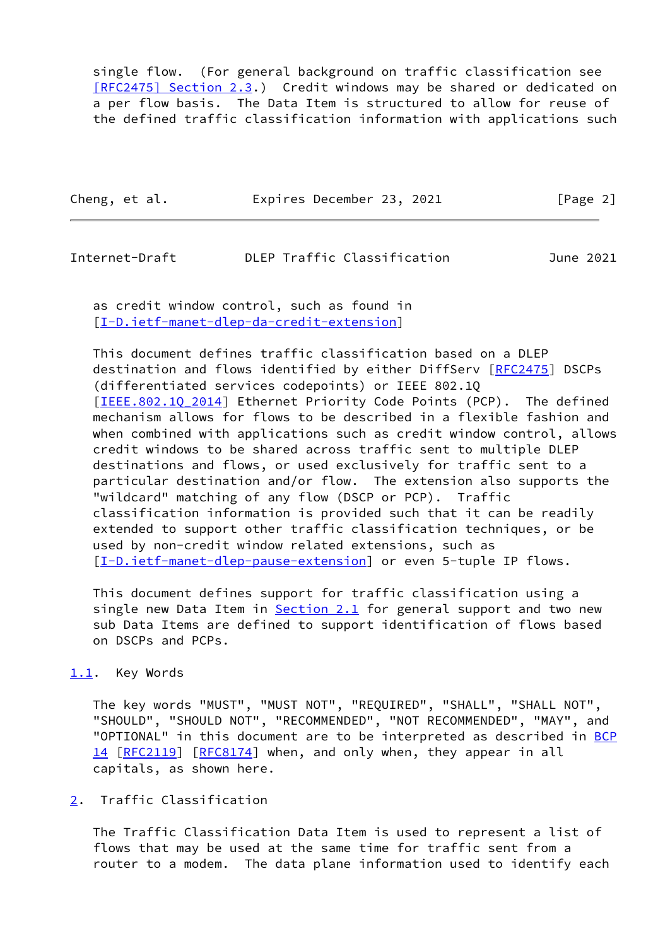single flow. (For general background on traffic classification see [\[RFC2475\] Section](https://datatracker.ietf.org/doc/pdf/rfc2475#section-2.3) 2.3.) Credit windows may be shared or dedicated on a per flow basis. The Data Item is structured to allow for reuse of the defined traffic classification information with applications such

Cheng, et al. Expires December 23, 2021 [Page 2]

# <span id="page-2-1"></span>Internet-Draft DLEP Traffic Classification June 2021

 as credit window control, such as found in [\[I-D.ietf-manet-dlep-da-credit-extension](#page-12-2)]

 This document defines traffic classification based on a DLEP destination and flows identified by either DiffServ [\[RFC2475](https://datatracker.ietf.org/doc/pdf/rfc2475)] DSCPs (differentiated services codepoints) or IEEE 802.1Q [IEEE.802.10 2014] Ethernet Priority Code Points (PCP). The defined mechanism allows for flows to be described in a flexible fashion and when combined with applications such as credit window control, allows credit windows to be shared across traffic sent to multiple DLEP destinations and flows, or used exclusively for traffic sent to a particular destination and/or flow. The extension also supports the "wildcard" matching of any flow (DSCP or PCP). Traffic classification information is provided such that it can be readily extended to support other traffic classification techniques, or be used by non-credit window related extensions, such as [\[I-D.ietf-manet-dlep-pause-extension](#page-12-4)] or even 5-tuple IP flows.

 This document defines support for traffic classification using a single new Data Item in [Section 2.1](#page-3-0) for general support and two new sub Data Items are defined to support identification of flows based on DSCPs and PCPs.

## <span id="page-2-0"></span>[1.1](#page-2-0). Key Words

 The key words "MUST", "MUST NOT", "REQUIRED", "SHALL", "SHALL NOT", "SHOULD", "SHOULD NOT", "RECOMMENDED", "NOT RECOMMENDED", "MAY", and "OPTIONAL" in this document are to be interpreted as described in [BCP](https://datatracker.ietf.org/doc/pdf/bcp14) [14](https://datatracker.ietf.org/doc/pdf/bcp14) [[RFC2119\]](https://datatracker.ietf.org/doc/pdf/rfc2119) [\[RFC8174](https://datatracker.ietf.org/doc/pdf/rfc8174)] when, and only when, they appear in all capitals, as shown here.

# <span id="page-2-2"></span>[2](#page-2-2). Traffic Classification

 The Traffic Classification Data Item is used to represent a list of flows that may be used at the same time for traffic sent from a router to a modem. The data plane information used to identify each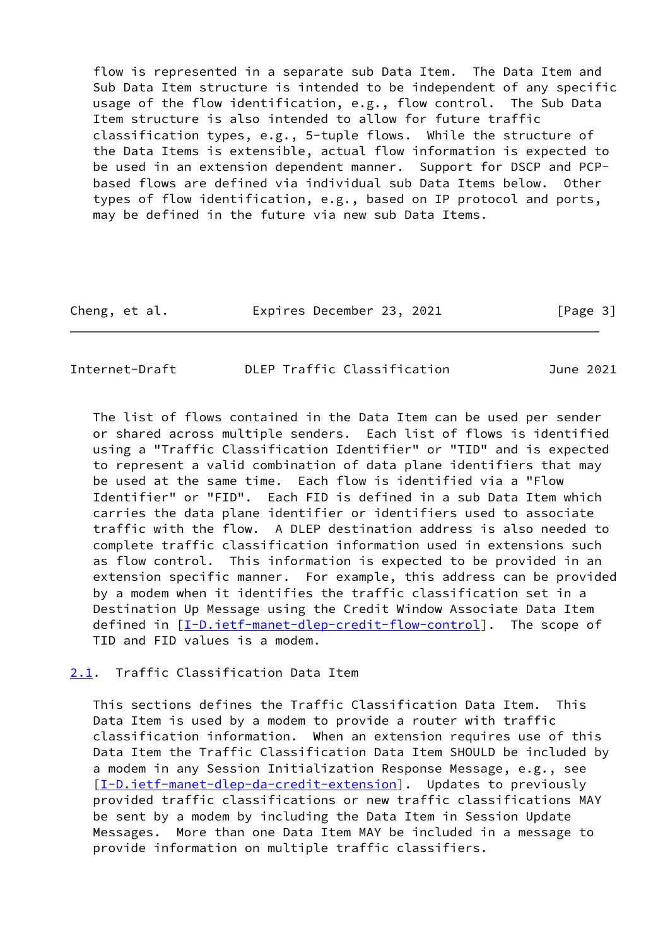flow is represented in a separate sub Data Item. The Data Item and Sub Data Item structure is intended to be independent of any specific usage of the flow identification, e.g., flow control. The Sub Data Item structure is also intended to allow for future traffic classification types, e.g., 5-tuple flows. While the structure of the Data Items is extensible, actual flow information is expected to be used in an extension dependent manner. Support for DSCP and PCP based flows are defined via individual sub Data Items below. Other types of flow identification, e.g., based on IP protocol and ports, may be defined in the future via new sub Data Items.

| Cheng, et al. | Expires December 23, 2021 |  | [Page 3] |
|---------------|---------------------------|--|----------|
|---------------|---------------------------|--|----------|

<span id="page-3-1"></span>Internet-Draft DLEP Traffic Classification June 2021

 The list of flows contained in the Data Item can be used per sender or shared across multiple senders. Each list of flows is identified using a "Traffic Classification Identifier" or "TID" and is expected to represent a valid combination of data plane identifiers that may be used at the same time. Each flow is identified via a "Flow Identifier" or "FID". Each FID is defined in a sub Data Item which carries the data plane identifier or identifiers used to associate traffic with the flow. A DLEP destination address is also needed to complete traffic classification information used in extensions such as flow control. This information is expected to be provided in an extension specific manner. For example, this address can be provided by a modem when it identifies the traffic classification set in a Destination Up Message using the Credit Window Associate Data Item defined in  $[I-D.iett-manet-dlep-credit-flow-control]$ . The scope of TID and FID values is a modem.

<span id="page-3-0"></span>[2.1](#page-3-0). Traffic Classification Data Item

 This sections defines the Traffic Classification Data Item. This Data Item is used by a modem to provide a router with traffic classification information. When an extension requires use of this Data Item the Traffic Classification Data Item SHOULD be included by a modem in any Session Initialization Response Message, e.g., see [\[I-D.ietf-manet-dlep-da-credit-extension](#page-12-2)]. Updates to previously provided traffic classifications or new traffic classifications MAY be sent by a modem by including the Data Item in Session Update Messages. More than one Data Item MAY be included in a message to provide information on multiple traffic classifiers.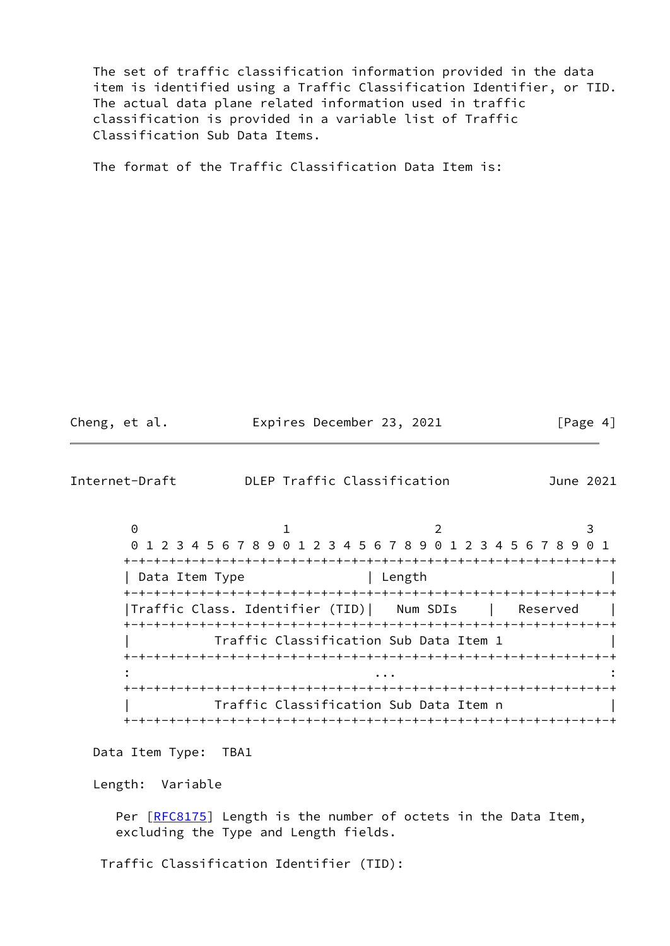The set of traffic classification information provided in the data item is identified using a Traffic Classification Identifier, or TID. The actual data plane related information used in traffic classification is provided in a variable list of Traffic Classification Sub Data Items.

The format of the Traffic Classification Data Item is:

Cheng, et al. Expires December 23, 2021 [Page 4]

Internet-Draft DLEP Traffic Classification June 2021

 $0$  1 2 3 0 1 2 3 4 5 6 7 8 9 0 1 2 3 4 5 6 7 8 9 0 1 2 3 4 5 6 7 8 9 0 1 +-+-+-+-+-+-+-+-+-+-+-+-+-+-+-+-+-+-+-+-+-+-+-+-+-+-+-+-+-+-+-+-+ | Data Item Type | Length | +-+-+-+-+-+-+-+-+-+-+-+-+-+-+-+-+-+-+-+-+-+-+-+-+-+-+-+-+-+-+-+-+ |Traffic Class. Identifier (TID)| Num SDIs | Reserved | +-+-+-+-+-+-+-+-+-+-+-+-+-+-+-+-+-+-+-+-+-+-+-+-+-+-+-+-+-+-+-+-+ Traffic Classification Sub Data Item 1 +-+-+-+-+-+-+-+-+-+-+-+-+-+-+-+-+-+-+-+-+-+-+-+-+-+-+-+-+-+-+-+-+ : ... : +-+-+-+-+-+-+-+-+-+-+-+-+-+-+-+-+-+-+-+-+-+-+-+-+-+-+-+-+-+-+-+-+ | Traffic Classification Sub Data Item n | +-+-+-+-+-+-+-+-+-+-+-+-+-+-+-+-+-+-+-+-+-+-+-+-+-+-+-+-+-+-+-+-+

Data Item Type: TBA1

Length: Variable

Per [\[RFC8175](https://datatracker.ietf.org/doc/pdf/rfc8175)] Length is the number of octets in the Data Item, excluding the Type and Length fields.

Traffic Classification Identifier (TID):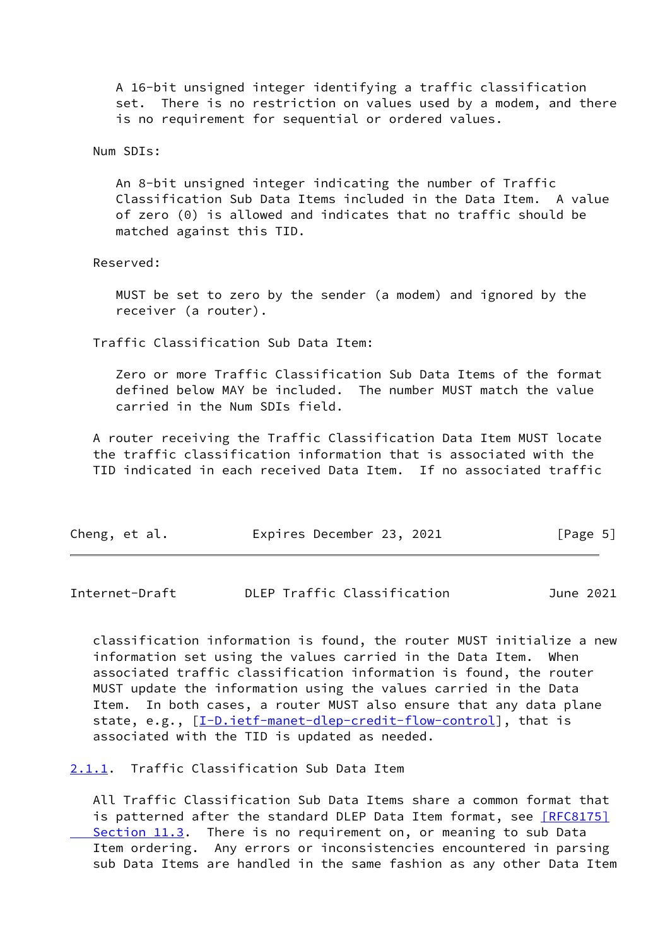A 16-bit unsigned integer identifying a traffic classification set. There is no restriction on values used by a modem, and there is no requirement for sequential or ordered values.

Num SDIs:

 An 8-bit unsigned integer indicating the number of Traffic Classification Sub Data Items included in the Data Item. A value of zero (0) is allowed and indicates that no traffic should be matched against this TID.

Reserved:

 MUST be set to zero by the sender (a modem) and ignored by the receiver (a router).

Traffic Classification Sub Data Item:

 Zero or more Traffic Classification Sub Data Items of the format defined below MAY be included. The number MUST match the value carried in the Num SDIs field.

 A router receiving the Traffic Classification Data Item MUST locate the traffic classification information that is associated with the TID indicated in each received Data Item. If no associated traffic

| Cheng, et al. | Expires December 23, 2021 | [Page 5] |
|---------------|---------------------------|----------|
|               |                           |          |

<span id="page-5-1"></span>Internet-Draft DLEP Traffic Classification June 2021

 classification information is found, the router MUST initialize a new information set using the values carried in the Data Item. When associated traffic classification information is found, the router MUST update the information using the values carried in the Data Item. In both cases, a router MUST also ensure that any data plane state, e.g., [\[I-D.ietf-manet-dlep-credit-flow-control](#page-12-5)], that is associated with the TID is updated as needed.

#### <span id="page-5-0"></span>[2.1.1](#page-5-0). Traffic Classification Sub Data Item

 All Traffic Classification Sub Data Items share a common format that is patterned after the standard DLEP Data Item format, see [\[RFC8175\]](https://datatracker.ietf.org/doc/pdf/rfc8175#section-11.3) Section 11.3. There is no requirement on, or meaning to sub Data Item ordering. Any errors or inconsistencies encountered in parsing sub Data Items are handled in the same fashion as any other Data Item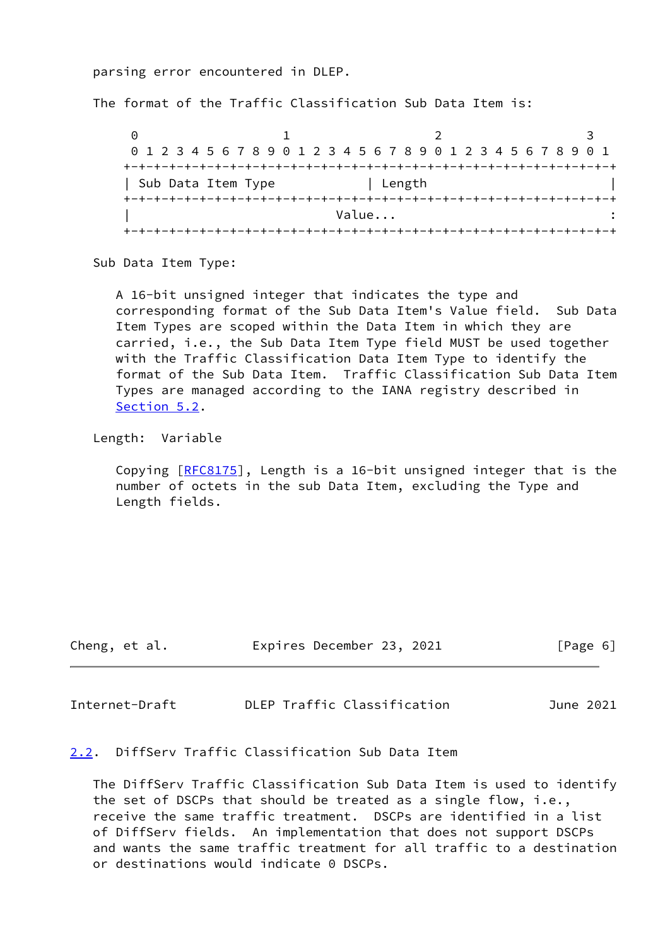parsing error encountered in DLEP.

The format of the Traffic Classification Sub Data Item is:

 $0$  1 2 3 0 1 2 3 4 5 6 7 8 9 0 1 2 3 4 5 6 7 8 9 0 1 2 3 4 5 6 7 8 9 0 1 +-+-+-+-+-+-+-+-+-+-+-+-+-+-+-+-+-+-+-+-+-+-+-+-+-+-+-+-+-+-+-+-+ | Sub Data Item Type | Length +-+-+-+-+-+-+-+-+-+-+-+-+-+-+-+-+-+-+-+-+-+-+-+-+-+-+-+-+-+-+-+-+ | Value... : +-+-+-+-+-+-+-+-+-+-+-+-+-+-+-+-+-+-+-+-+-+-+-+-+-+-+-+-+-+-+-+-+

Sub Data Item Type:

 A 16-bit unsigned integer that indicates the type and corresponding format of the Sub Data Item's Value field. Sub Data Item Types are scoped within the Data Item in which they are carried, i.e., the Sub Data Item Type field MUST be used together with the Traffic Classification Data Item Type to identify the format of the Sub Data Item. Traffic Classification Sub Data Item Types are managed according to the IANA registry described in [Section 5.2](#page-11-0).

Length: Variable

Copying  $[REC8175]$ , Length is a 16-bit unsigned integer that is the number of octets in the sub Data Item, excluding the Type and Length fields.

| Cheng, et al. |  | Expires December 23, 2021 |  | [Page 6] |  |
|---------------|--|---------------------------|--|----------|--|
|               |  |                           |  |          |  |

<span id="page-6-1"></span>Internet-Draft DLEP Traffic Classification June 2021

<span id="page-6-0"></span>[2.2](#page-6-0). DiffServ Traffic Classification Sub Data Item

 The DiffServ Traffic Classification Sub Data Item is used to identify the set of DSCPs that should be treated as a single flow, i.e., receive the same traffic treatment. DSCPs are identified in a list of DiffServ fields. An implementation that does not support DSCPs and wants the same traffic treatment for all traffic to a destination or destinations would indicate 0 DSCPs.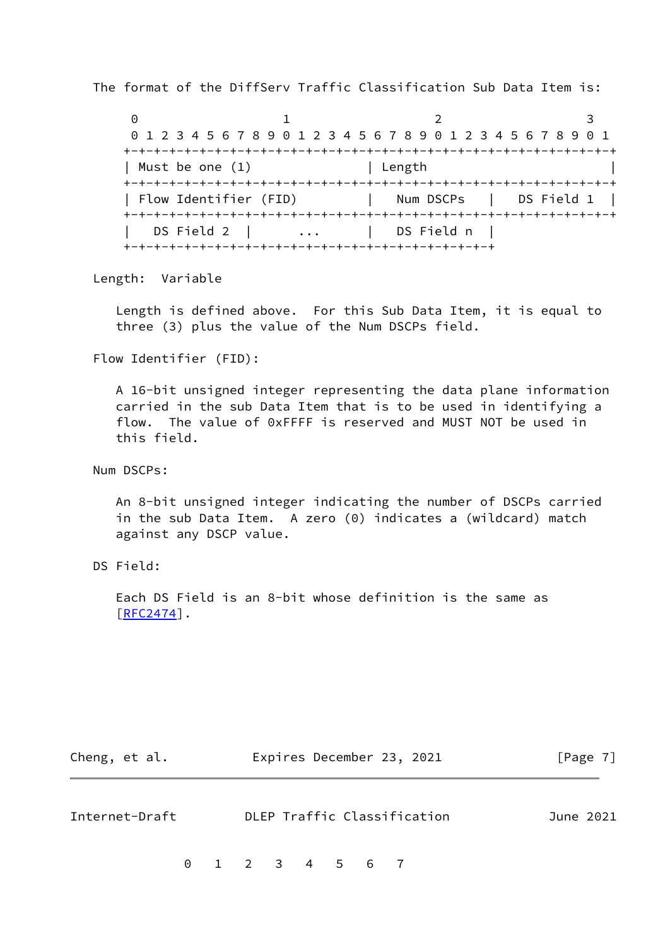The format of the DiffServ Traffic Classification Sub Data Item is:

 $0$  1 2 3 0 1 2 3 4 5 6 7 8 9 0 1 2 3 4 5 6 7 8 9 0 1 2 3 4 5 6 7 8 9 0 1 +-+-+-+-+-+-+-+-+-+-+-+-+-+-+-+-+-+-+-+-+-+-+-+-+-+-+-+-+-+-+-+-+ | Must be one (1) | Length +-+-+-+-+-+-+-+-+-+-+-+-+-+-+-+-+-+-+-+-+-+-+-+-+-+-+-+-+-+-+-+-+ | Flow Identifier (FID) | Num DSCPs | DS Field 1 | +-+-+-+-+-+-+-+-+-+-+-+-+-+-+-+-+-+-+-+-+-+-+-+-+-+-+-+-+-+-+-+-+ | DS Field 2 | ... | DS Field n | +-+-+-+-+-+-+-+-+-+-+-+-+-+-+-+-+-+-+-+-+-+-+-+-+

Length: Variable

 Length is defined above. For this Sub Data Item, it is equal to three (3) plus the value of the Num DSCPs field.

Flow Identifier (FID):

 A 16-bit unsigned integer representing the data plane information carried in the sub Data Item that is to be used in identifying a flow. The value of 0xFFFF is reserved and MUST NOT be used in this field.

Num DSCPs:

 An 8-bit unsigned integer indicating the number of DSCPs carried in the sub Data Item. A zero (0) indicates a (wildcard) match against any DSCP value.

DS Field:

 Each DS Field is an 8-bit whose definition is the same as [[RFC2474\]](https://datatracker.ietf.org/doc/pdf/rfc2474).

| Cheng, et al. | Expires December 23, 2021 | [Page 7] |
|---------------|---------------------------|----------|
|               |                           |          |

<span id="page-7-0"></span>

| Internet-Draft | DLEP Traffic Classification | June 2021 |
|----------------|-----------------------------|-----------|
|                |                             |           |

0 1 2 3 4 5 6 7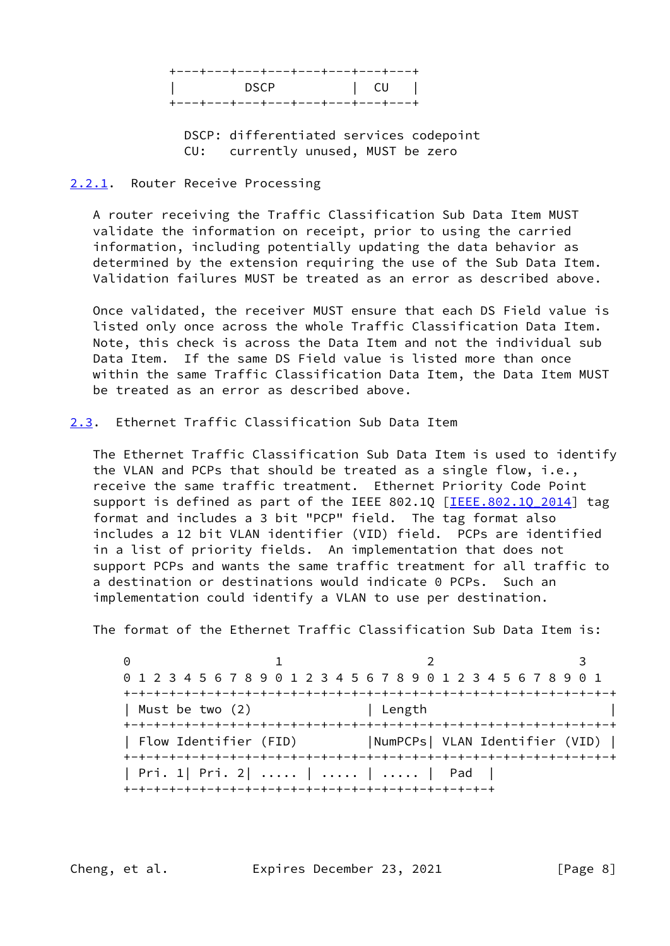| +---+---+---+---+---+---+---+---+                                  |                    |
|--------------------------------------------------------------------|--------------------|
| <b>DSCP</b><br><b>Contract Contract Contract Contract Contract</b> | $\vert$ CU $\vert$ |
| +---+---+---+---+---+---+---+---+                                  |                    |

 DSCP: differentiated services codepoint CU: currently unused, MUST be zero

### <span id="page-8-0"></span>[2.2.1](#page-8-0). Router Receive Processing

 A router receiving the Traffic Classification Sub Data Item MUST validate the information on receipt, prior to using the carried information, including potentially updating the data behavior as determined by the extension requiring the use of the Sub Data Item. Validation failures MUST be treated as an error as described above.

 Once validated, the receiver MUST ensure that each DS Field value is listed only once across the whole Traffic Classification Data Item. Note, this check is across the Data Item and not the individual sub Data Item. If the same DS Field value is listed more than once within the same Traffic Classification Data Item, the Data Item MUST be treated as an error as described above.

<span id="page-8-1"></span>[2.3](#page-8-1). Ethernet Traffic Classification Sub Data Item

 The Ethernet Traffic Classification Sub Data Item is used to identify the VLAN and PCPs that should be treated as a single flow, i.e., receive the same traffic treatment. Ethernet Priority Code Point support is defined as part of the IEEE 802.1Q [IEEE.802.1Q 2014] tag format and includes a 3 bit "PCP" field. The tag format also includes a 12 bit VLAN identifier (VID) field. PCPs are identified in a list of priority fields. An implementation that does not support PCPs and wants the same traffic treatment for all traffic to a destination or destinations would indicate 0 PCPs. Such an implementation could identify a VLAN to use per destination.

The format of the Ethernet Traffic Classification Sub Data Item is:

0 1 2 3 0 1 2 3 4 5 6 7 8 9 0 1 2 3 4 5 6 7 8 9 0 1 2 3 4 5 6 7 8 9 0 1 +-+-+-+-+-+-+-+-+-+-+-+-+-+-+-+-+-+-+-+-+-+-+-+-+-+-+-+-+-+-+-+-+ | Must be two (2) | Length +-+-+-+-+-+-+-+-+-+-+-+-+-+-+-+-+-+-+-+-+-+-+-+-+-+-+-+-+-+-+-+-+ | Flow Identifier (FID) |NumPCPs| VLAN Identifier (VID) | +-+-+-+-+-+-+-+-+-+-+-+-+-+-+-+-+-+-+-+-+-+-+-+-+-+-+-+-+-+-+-+-+ | Pri. 1| Pri. 2| ..... | ..... | ..... | Pad | +-+-+-+-+-+-+-+-+-+-+-+-+-+-+-+-+-+-+-+-+-+-+-+-+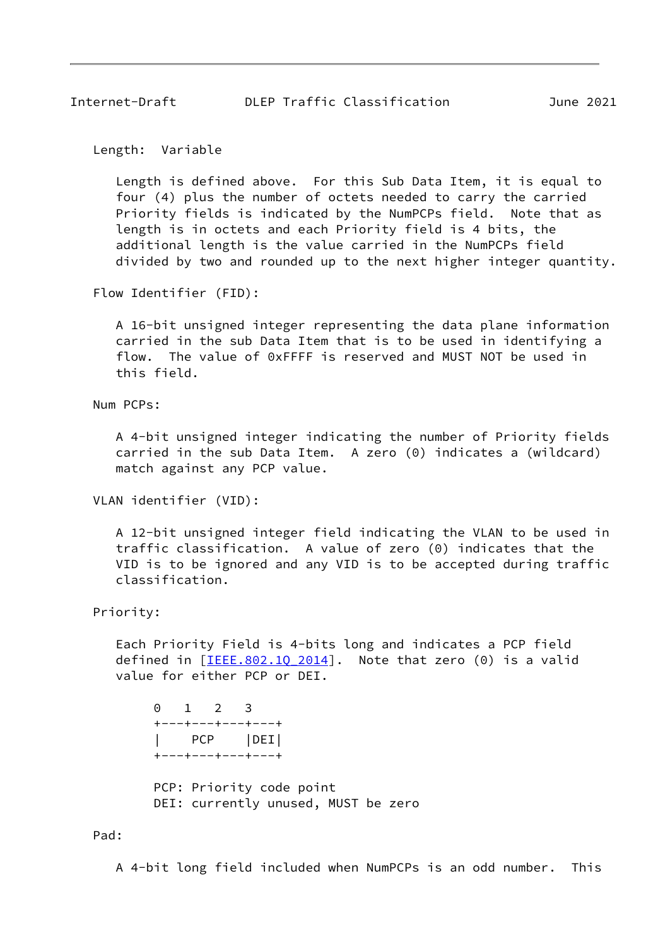Length: Variable

 Length is defined above. For this Sub Data Item, it is equal to four (4) plus the number of octets needed to carry the carried Priority fields is indicated by the NumPCPs field. Note that as length is in octets and each Priority field is 4 bits, the additional length is the value carried in the NumPCPs field divided by two and rounded up to the next higher integer quantity.

Flow Identifier (FID):

 A 16-bit unsigned integer representing the data plane information carried in the sub Data Item that is to be used in identifying a flow. The value of 0xFFFF is reserved and MUST NOT be used in this field.

Num PCPs:

 A 4-bit unsigned integer indicating the number of Priority fields carried in the sub Data Item. A zero (0) indicates a (wildcard) match against any PCP value.

VLAN identifier (VID):

 A 12-bit unsigned integer field indicating the VLAN to be used in traffic classification. A value of zero (0) indicates that the VID is to be ignored and any VID is to be accepted during traffic classification.

Priority:

 Each Priority Field is 4-bits long and indicates a PCP field defined in  $[\text{IEEE}.802.10 2014]$ . Note that zero (0) is a valid value for either PCP or DEI.

 0 1 2 3 +---+---+---+---+ | PCP |DEI| +---+---+---+---+

 PCP: Priority code point DEI: currently unused, MUST be zero

Pad:

A 4-bit long field included when NumPCPs is an odd number. This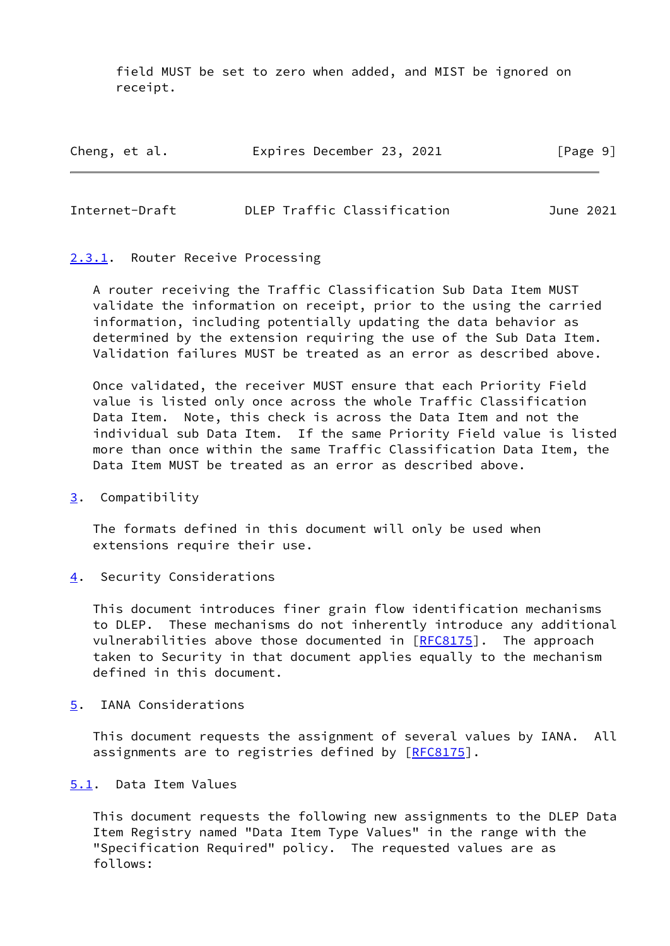field MUST be set to zero when added, and MIST be ignored on receipt.

| Cheng, et al. | Expires December 23, 2021 |  |  | [Page 9] |  |
|---------------|---------------------------|--|--|----------|--|
|---------------|---------------------------|--|--|----------|--|

<span id="page-10-1"></span>

| Internet-Draft |  | DLEP Traffic Classification | June 2021 |
|----------------|--|-----------------------------|-----------|
|                |  |                             |           |

#### <span id="page-10-0"></span>[2.3.1](#page-10-0). Router Receive Processing

 A router receiving the Traffic Classification Sub Data Item MUST validate the information on receipt, prior to the using the carried information, including potentially updating the data behavior as determined by the extension requiring the use of the Sub Data Item. Validation failures MUST be treated as an error as described above.

 Once validated, the receiver MUST ensure that each Priority Field value is listed only once across the whole Traffic Classification Data Item. Note, this check is across the Data Item and not the individual sub Data Item. If the same Priority Field value is listed more than once within the same Traffic Classification Data Item, the Data Item MUST be treated as an error as described above.

## <span id="page-10-2"></span>[3](#page-10-2). Compatibility

 The formats defined in this document will only be used when extensions require their use.

<span id="page-10-3"></span>[4](#page-10-3). Security Considerations

 This document introduces finer grain flow identification mechanisms to DLEP. These mechanisms do not inherently introduce any additional vulnerabilities above those documented in  $[REC8175]$ . The approach taken to Security in that document applies equally to the mechanism defined in this document.

#### <span id="page-10-4"></span>[5](#page-10-4). IANA Considerations

 This document requests the assignment of several values by IANA. All assignments are to registries defined by [\[RFC8175](https://datatracker.ietf.org/doc/pdf/rfc8175)].

## <span id="page-10-5"></span>[5.1](#page-10-5). Data Item Values

 This document requests the following new assignments to the DLEP Data Item Registry named "Data Item Type Values" in the range with the "Specification Required" policy. The requested values are as follows: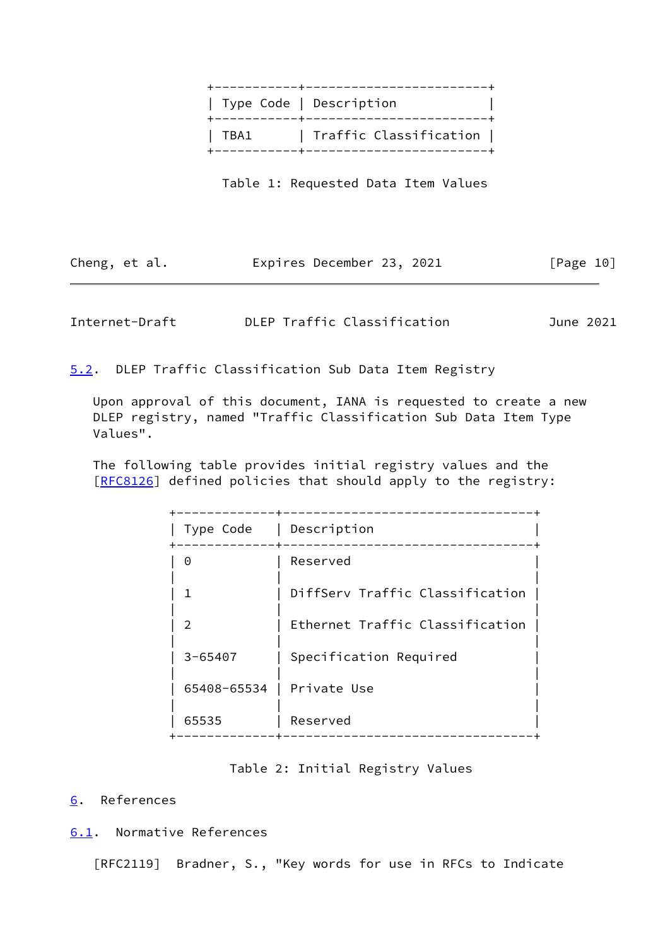|      | ----------+-------------------------<br>  Type Code   Description |  |
|------|-------------------------------------------------------------------|--|
| TBA1 | Traffic Classification  <br>--------+------------------------     |  |

Table 1: Requested Data Item Values

| Cheng, et al. |  |  |  | Expires December 23, 2021 |  |  | [Page 10] |  |
|---------------|--|--|--|---------------------------|--|--|-----------|--|
|---------------|--|--|--|---------------------------|--|--|-----------|--|

<span id="page-11-1"></span>Internet-Draft DLEP Traffic Classification June 2021

<span id="page-11-0"></span>[5.2](#page-11-0). DLEP Traffic Classification Sub Data Item Registry

 Upon approval of this document, IANA is requested to create a new DLEP registry, named "Traffic Classification Sub Data Item Type Values".

 The following table provides initial registry values and the [\[RFC8126](https://datatracker.ietf.org/doc/pdf/rfc8126)] defined policies that should apply to the registry:

| Type Code      | Description                     |
|----------------|---------------------------------|
| 0              | Reserved                        |
| 1              | DiffServ Traffic Classification |
| $\mathfrak{D}$ | Ethernet Traffic Classification |
| $3 - 65407$    | Specification Required          |
| 65408-65534    | Private Use                     |
| 65535          | Reserved                        |
|                |                                 |

### Table 2: Initial Registry Values

# <span id="page-11-2"></span>[6](#page-11-2). References

<span id="page-11-3"></span>[6.1](#page-11-3). Normative References

[RFC2119] Bradner, S., "Key words for use in RFCs to Indicate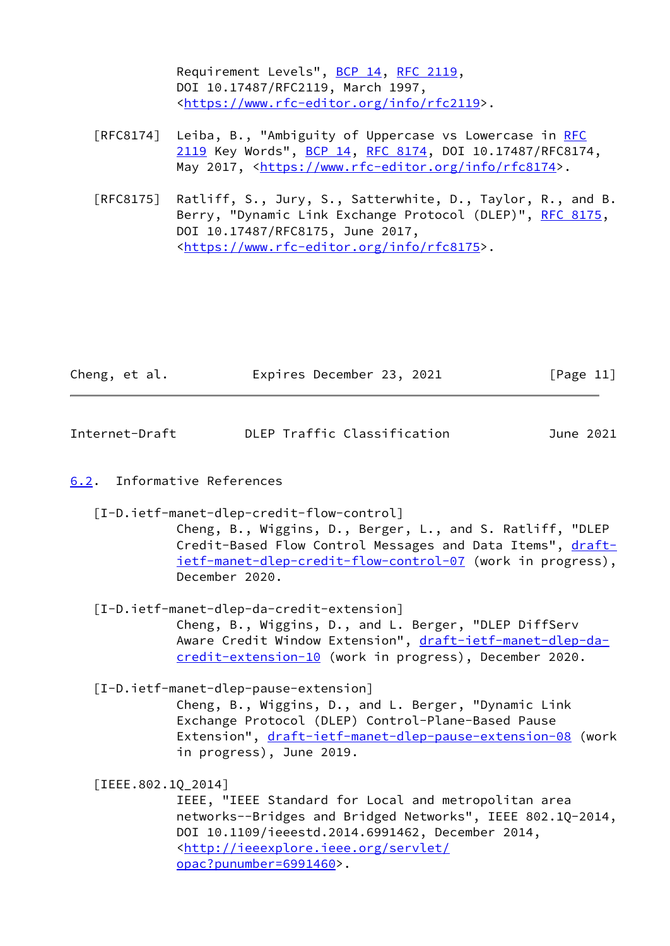Requirement Levels", [BCP 14](https://datatracker.ietf.org/doc/pdf/bcp14), [RFC 2119](https://datatracker.ietf.org/doc/pdf/rfc2119), DOI 10.17487/RFC2119, March 1997, <[https://www.rfc-editor.org/info/rfc2119>](https://www.rfc-editor.org/info/rfc2119).

- [RFC8174] Leiba, B., "Ambiguity of Uppercase vs Lowercase in [RFC](https://datatracker.ietf.org/doc/pdf/rfc2119) [2119](https://datatracker.ietf.org/doc/pdf/rfc2119) Key Words", [BCP 14](https://datatracker.ietf.org/doc/pdf/bcp14), [RFC 8174,](https://datatracker.ietf.org/doc/pdf/rfc8174) DOI 10.17487/RFC8174, May 2017, [<https://www.rfc-editor.org/info/rfc8174](https://www.rfc-editor.org/info/rfc8174)>.
- [RFC8175] Ratliff, S., Jury, S., Satterwhite, D., Taylor, R., and B. Berry, "Dynamic Link Exchange Protocol (DLEP)", [RFC 8175,](https://datatracker.ietf.org/doc/pdf/rfc8175) DOI 10.17487/RFC8175, June 2017, <[https://www.rfc-editor.org/info/rfc8175>](https://www.rfc-editor.org/info/rfc8175).

| Cheng, et al. |  |  |  | Expires December 23, 2021 |  |  | [Page 11] |  |
|---------------|--|--|--|---------------------------|--|--|-----------|--|
|---------------|--|--|--|---------------------------|--|--|-----------|--|

<span id="page-12-1"></span>

| DLEP Traffic Classification<br>Internet-Draft<br>June 2021 |  |
|------------------------------------------------------------|--|
|------------------------------------------------------------|--|

#### <span id="page-12-0"></span>[6.2](#page-12-0). Informative References

<span id="page-12-5"></span>[I-D.ietf-manet-dlep-credit-flow-control]

 Cheng, B., Wiggins, D., Berger, L., and S. Ratliff, "DLEP Credit-Based Flow Control Messages and Data Items", [draft](https://datatracker.ietf.org/doc/pdf/draft-ietf-manet-dlep-credit-flow-control-07) [ietf-manet-dlep-credit-flow-control-07](https://datatracker.ietf.org/doc/pdf/draft-ietf-manet-dlep-credit-flow-control-07) (work in progress), December 2020.

<span id="page-12-2"></span>[I-D.ietf-manet-dlep-da-credit-extension]

 Cheng, B., Wiggins, D., and L. Berger, "DLEP DiffServ Aware Credit Window Extension", [draft-ietf-manet-dlep-da](https://datatracker.ietf.org/doc/pdf/draft-ietf-manet-dlep-da-credit-extension-10) [credit-extension-10](https://datatracker.ietf.org/doc/pdf/draft-ietf-manet-dlep-da-credit-extension-10) (work in progress), December 2020.

<span id="page-12-4"></span>[I-D.ietf-manet-dlep-pause-extension]

 Cheng, B., Wiggins, D., and L. Berger, "Dynamic Link Exchange Protocol (DLEP) Control-Plane-Based Pause Extension", [draft-ietf-manet-dlep-pause-extension-08](https://datatracker.ietf.org/doc/pdf/draft-ietf-manet-dlep-pause-extension-08) (work in progress), June 2019.

<span id="page-12-3"></span>[IEEE.802.1Q\_2014]

 IEEE, "IEEE Standard for Local and metropolitan area networks--Bridges and Bridged Networks", IEEE 802.1Q-2014, DOI 10.1109/ieeestd.2014.6991462, December 2014, <[http://ieeexplore.ieee.org/servlet/](http://ieeexplore.ieee.org/servlet/opac?punumber=6991460) [opac?punumber=6991460>](http://ieeexplore.ieee.org/servlet/opac?punumber=6991460).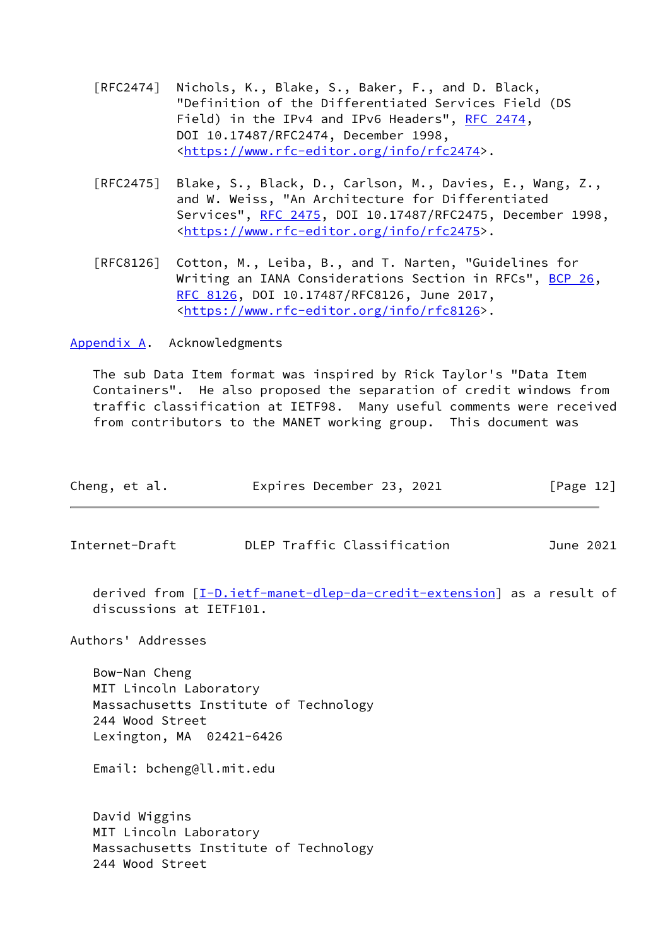- [RFC2474] Nichols, K., Blake, S., Baker, F., and D. Black, "Definition of the Differentiated Services Field (DS Field) in the IPv4 and IPv6 Headers", [RFC 2474](https://datatracker.ietf.org/doc/pdf/rfc2474), DOI 10.17487/RFC2474, December 1998, <[https://www.rfc-editor.org/info/rfc2474>](https://www.rfc-editor.org/info/rfc2474).
- [RFC2475] Blake, S., Black, D., Carlson, M., Davies, E., Wang, Z., and W. Weiss, "An Architecture for Differentiated Services", [RFC 2475](https://datatracker.ietf.org/doc/pdf/rfc2475), DOI 10.17487/RFC2475, December 1998, <[https://www.rfc-editor.org/info/rfc2475>](https://www.rfc-editor.org/info/rfc2475).
- [RFC8126] Cotton, M., Leiba, B., and T. Narten, "Guidelines for Writing an IANA Considerations Section in RFCs", [BCP 26](https://datatracker.ietf.org/doc/pdf/bcp26), [RFC 8126,](https://datatracker.ietf.org/doc/pdf/rfc8126) DOI 10.17487/RFC8126, June 2017, <[https://www.rfc-editor.org/info/rfc8126>](https://www.rfc-editor.org/info/rfc8126).

<span id="page-13-0"></span>[Appendix A.](#page-13-0) Acknowledgments

 The sub Data Item format was inspired by Rick Taylor's "Data Item Containers". He also proposed the separation of credit windows from traffic classification at IETF98. Many useful comments were received from contributors to the MANET working group. This document was

<span id="page-13-1"></span>

| Cheng, et al.  | Expires December 23, 2021   | [Page 12] |
|----------------|-----------------------------|-----------|
|                |                             |           |
| Internet-Draft | DLEP Traffic Classification | June 2021 |

 derived from [\[I-D.ietf-manet-dlep-da-credit-extension](#page-12-2)] as a result of discussions at IETF101.

Authors' Addresses

 Bow-Nan Cheng MIT Lincoln Laboratory Massachusetts Institute of Technology 244 Wood Street Lexington, MA 02421-6426

Email: bcheng@ll.mit.edu

 David Wiggins MIT Lincoln Laboratory Massachusetts Institute of Technology 244 Wood Street